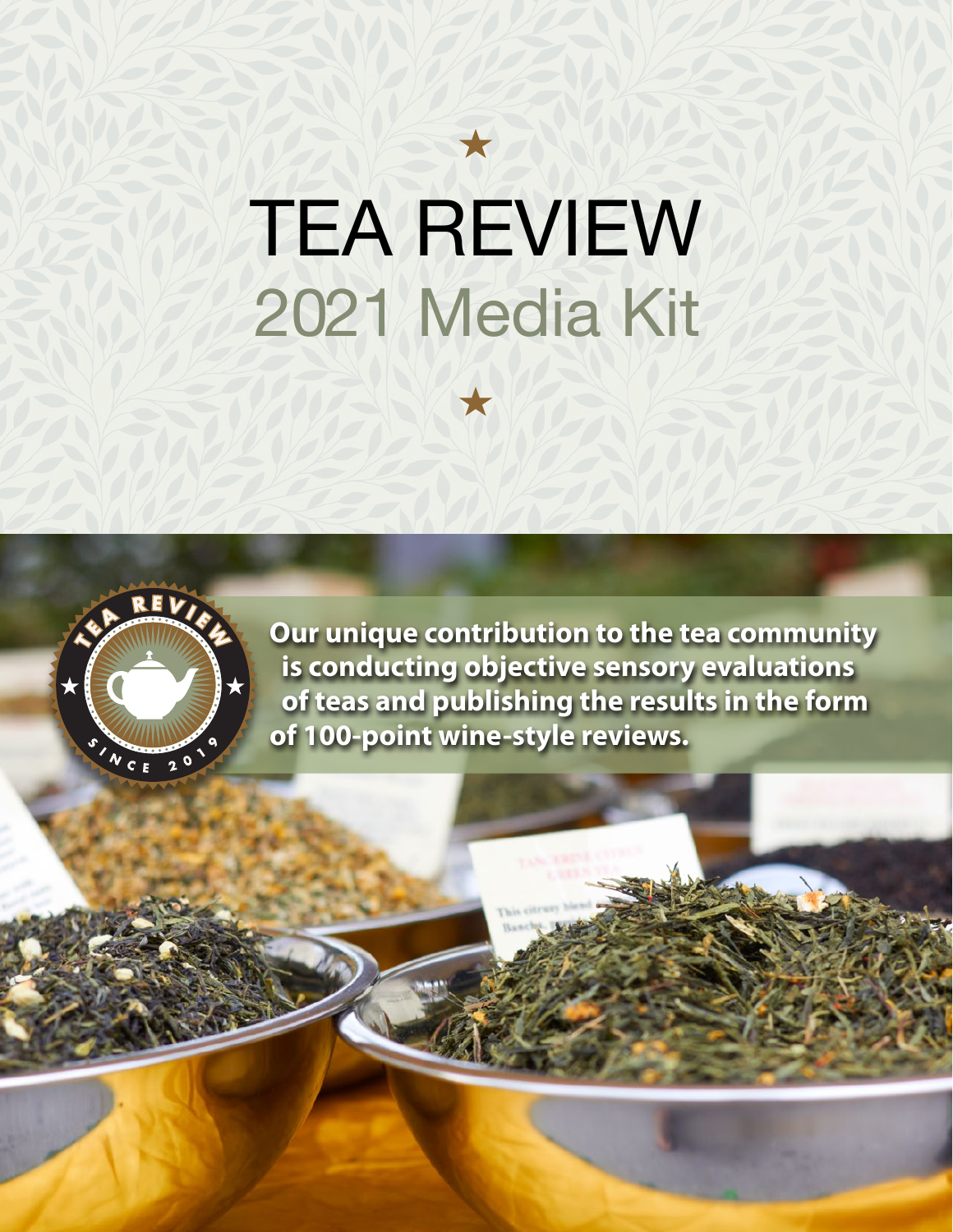# TEA REVIEW 2021 Media Kit

 $\bigstar$ 



**Our unique contribution to the tea community is conducting objective sensory evaluations of teas and publishing the results in the form of 100-point wine-style reviews.**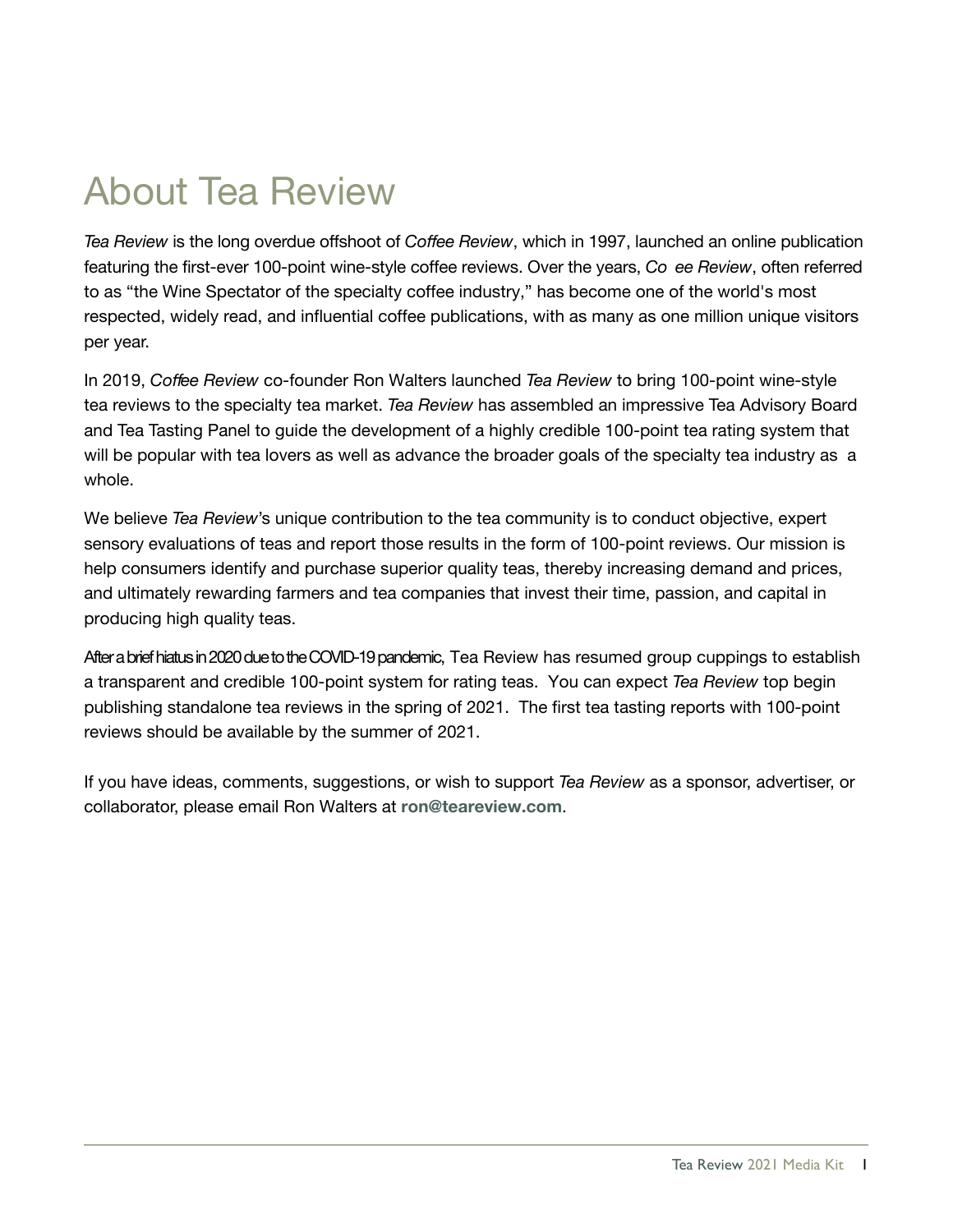## About Tea Review

*Tea Review* is the long overdue offshoot of *Coffee Review*, which in 1997, launched an online publication featuring the first-ever 100-point wine-style coffee reviews. Over the years, *Co ee Review*, often referred to as "the Wine Spectator of the specialty coffee industry," has become one of the world's most respected, widely read, and influential coffee publications, with as many as one million unique visitors per year.

In 2019, *Coffee Review* co-founder Ron Walters launched *Tea Review* to bring 100-point wine-style tea reviews to the specialty tea market. *Tea Review* has assembled an impressive Tea Advisory Board and Tea Tasting Panel to guide the development of a highly credible 100-point tea rating system that will be popular with tea lovers as well as advance the broader goals of the specialty tea industry as a whole.

We believe *Tea Review*'s unique contribution to the tea community is to conduct objective, expert sensory evaluations of teas and report those results in the form of 100-point reviews. Our mission is help consumers identify and purchase superior quality teas, thereby increasing demand and prices, and ultimately rewarding farmers and tea companies that invest their time, passion, and capital in producing high quality teas.

After a brief hiatus in 2020 due to the COVID-19 pandemic, Tea Review has resumed group cuppings to establish a transparent and credible 100-point system for rating teas. You can expect *Tea Review* top begin publishing standalone tea reviews in the spring of 2021. The first tea tasting reports with 100-point reviews should be available by the summer of 2021.

If you have ideas, comments, suggestions, or wish to support *Tea Review* as a sponsor, advertiser, or collaborator, please email Ron Walters at **ron@teareview.com**.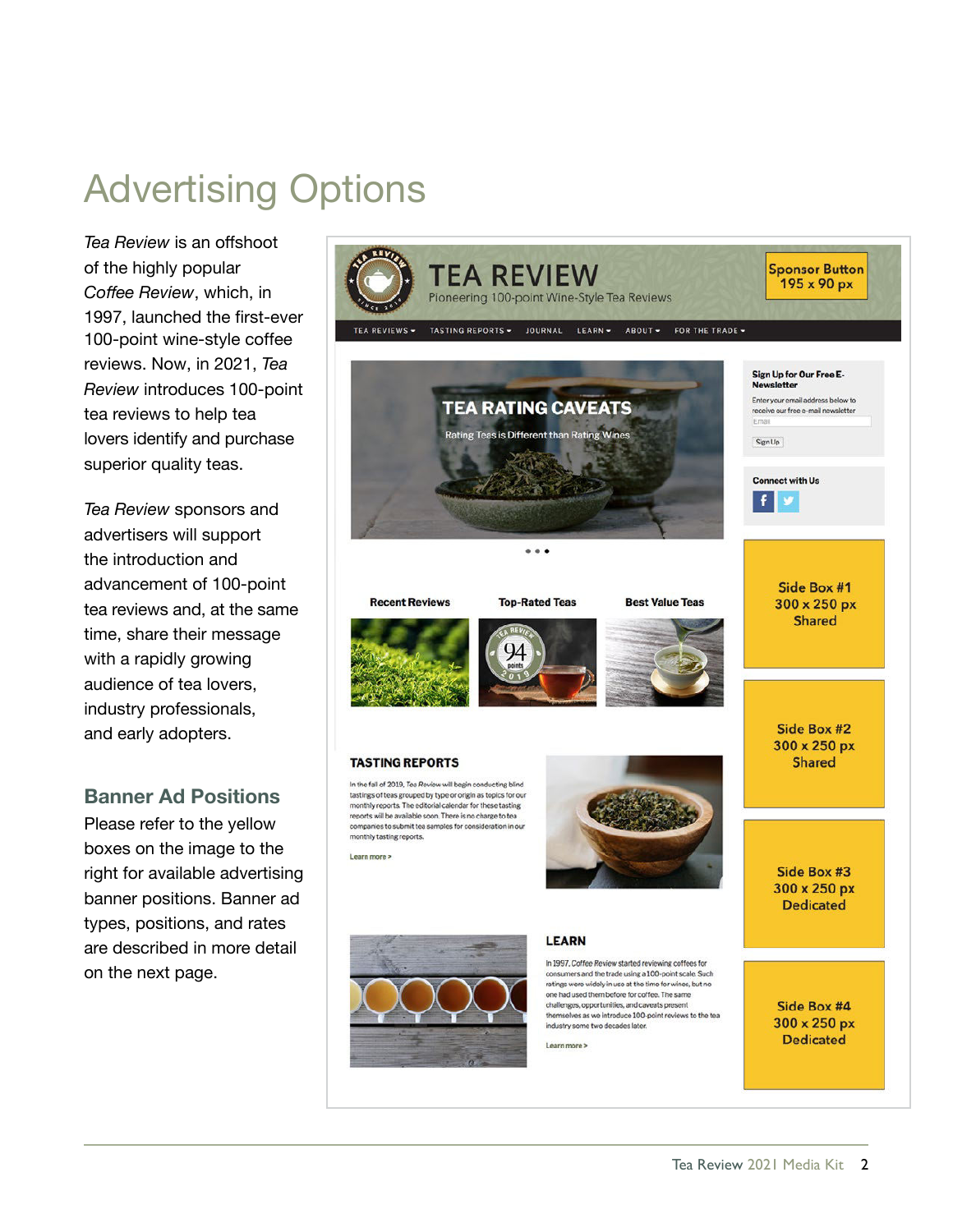## Advertising Options

*Tea Review* is an offshoot of the highly popular *Coffee Review*, which, in 1997, launched the first-ever 100-point wine-style coffee reviews. Now, in 2021, *Tea Review* introduces 100-point tea reviews to help tea lovers identify and purchase superior quality teas.

*Tea Review* sponsors and advertisers will support the introduction and advancement of 100-point tea reviews and, at the same time, share their message with a rapidly growing audience of tea lovers, industry professionals, and early adopters.

#### **Banner Ad Positions**

Please refer to the yellow boxes on the image to the right for available advertising banner positions. Banner ad types, positions, and rates are described in more detail on the next page.